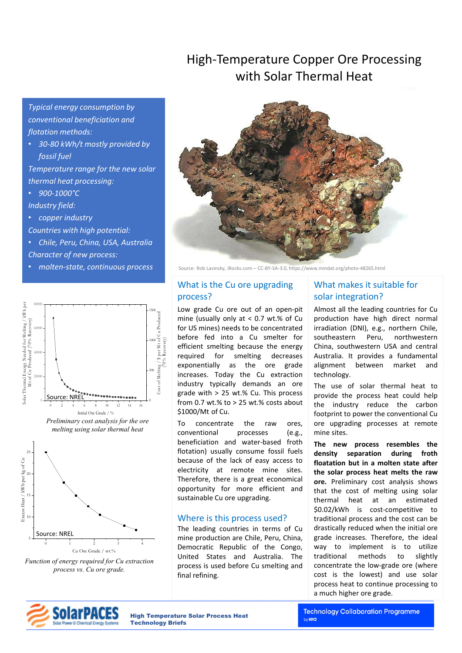## High-Temperature Copper Ore Processing with Solar Thermal Heat

*Typical energy consumption by conventional beneficiation and flotation methods:* 

• *30-80 kWh/t mostly provided by fossil fuel* 

*Temperature range for the new solar thermal heat processing:* 

- *900-1000°C Industry field:*
- *copper industry*
- *Countries with high potential:*
- *Chile, Peru, China, USA, Australia*
- *Character of new process:*
- *molten-state, continuous process*





Source: Rob Lavinsky, iRocks.com – CC-BY-SA-3.0, https://www.mindat.org/photo-48265.html

### What is the Cu ore upgrading process?

Low grade Cu ore out of an open-pit mine (usually only at < 0.7 wt.% of Cu for US mines) needs to be concentrated before fed into a Cu smelter for efficient smelting because the energy required for smelting decreases exponentially as the ore grade increases. Today the Cu extraction industry typically demands an ore grade with > 25 wt.% Cu. This process from 0.7 wt.% to  $>$  25 wt.% costs about \$1000/Mt of Cu.

To concentrate the raw ores, conventional processes (e.g., beneficiation and water-based froth flotation) usually consume fossil fuels because of the lack of easy access to electricity at remote mine sites. Therefore, there is a great economical opportunity for more efficient and sustainable Cu ore upgrading.

### Where is this process used?

The leading countries in terms of Cu mine production are Chile, Peru, China, Democratic Republic of the Congo, United States and Australia. The process is used before Cu smelting and final refining.

## What makes it suitable for solar integration?

Almost all the leading countries for Cu production have high direct normal irradiation (DNI), e.g., northern Chile, southeastern Peru, northwestern China, southwestern USA and central Australia. It provides a fundamental alignment between market and technology.

The use of solar thermal heat to provide the process heat could help the industry reduce the carbon footprint to power the conventional Cu ore upgrading processes at remote mine sites.

**The new process resembles the density separation during froth floatation but in a molten state after the solar process heat melts the raw ore.** Preliminary cost analysis shows that the cost of melting using solar thermal heat at an estimated \$0.02/kWh is cost-competitive to traditional process and the cost can be drastically reduced when the initial ore grade increases. Therefore, the ideal way to implement is to utilize traditional methods to slightly concentrate the low-grade ore (where cost is the lowest) and use solar process heat to continue processing to a much higher ore grade.



High Temperature Solar Process Heat Technology Briefs